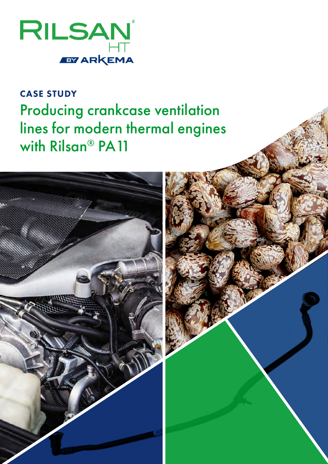

## CASE STUDY Producing crankcase ventilation lines for modern thermal engines with Rilsan® PA11

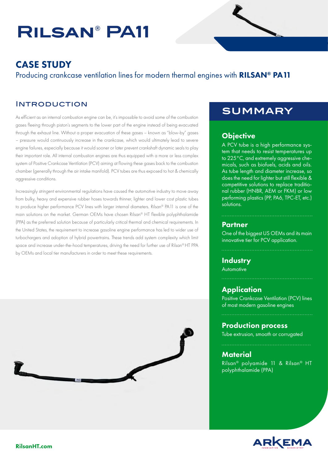# **Rilsan® PA11**

## CASE STUDY

Producing crankcase ventilation lines for modern thermal engines with **RILSAN<sup>®</sup> PA11** 

#### **INTRODUCTION**

As efficient as an internal combustion engine can be, it's impossible to avoid some of the combustion gases fleeing through piston's segments to the lower part of the engine instead of being evacuated through the exhaust line. Without a proper evacuation of these gases – known as "blow-by" gases – pressure would continuously increase in the crankcase, which would ultimately lead to severe engine failures, especially because it would sooner or later prevent crankshaft dynamic seals to play their important role. All internal combustion engines are thus equipped with a more or less complex system of Positive Crankcase Ventilation (PCV) aiming at flowing these gases back to the combustion chamber (generally through the air intake manifold). PCV tubes are thus exposed to hot & chemically aggressive conditions.

Increasingly stringent environmental regulations have caused the automotive industry to move away from bulky, heavy and expensive rubber hoses towards thinner, lighter and lower cost plastic tubes to produce higher performance PCV lines with larger internal diameters. Rilsan® PA11 is one of the main solutions on the market. German OEMs have chosen Rilsan® HT flexible polyphthalamide (PPA) as the preferred solution because of particularly critical thermal and chemical requirements. In the United States, the requirement to increase gasoline engine performance has led to wider use of turbochargers and adoption of hybrid powertrains. These trends add system complexity which limit space and increase under-the-hood temperatures, driving the need for further use of Rilsan® HT PPA by OEMs and local tier manufacturers in order to meet these requirements.



### **SUMMARY**

#### **Objective**

A PCV tube is a high performance system that needs to resist temperatures up to 225°C, and extremely aggressive chemicals, such as biofuels, acids and oils. As tube length and diameter increase, so does the need for lighter but still flexible & competitive solutions to replace traditional rubber (HNBR, AEM or FKM) or low performing plastics (PP, PA6, TPC-ET, etc.) solutions.

#### **Partner**

One of the biggest US OEMs and its main innovative tier for PCV application.

#### **Industry Automotive**

#### **Application**

Positive Crankcase Ventilation (PCV) lines of most modern gasoline engines

#### Production process

Tube extrusion, smooth or corrugated

#### **Material**

Rilsan® polyamide 11 & Rilsan® HT polyphthalamide (PPA)

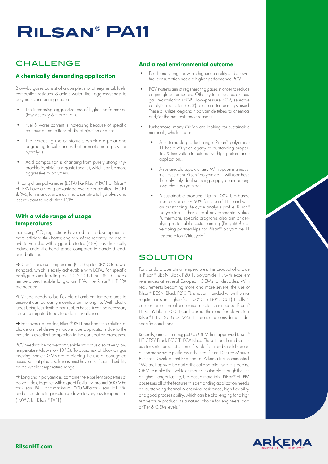## **Rilsan® PA11**

### **CHALLENGE**

#### A chemically demanding application

Blow-by gases consist of a complex mix of engine oil, fuels, combustion residues, & acidic water. Their aggressiveness to polymers is increasing due to:

- The increasing aggressiveness of higher performance (low viscosity & friction) oils.
- Fuel & water content is increasing because of specific combustion conditions of direct injection engines.
- The increasing use of biofuels, which are polar and degrading to substances that promote more polymer hydrolysis.
- Acid composition is changing from purely strong (hydrochloric, nitric) to organic (acetic), which can be more aggressive to polymers.

→ Long chain polyamides (LCPA) like Rilsan® PA11 or Rilsan® HT PPA have a strong advantage over other plastics. TPC-ET & PA6, for instance, are much more sensitive to hydrolysis and less resistant to acids than LCPA.

#### With a wide range of usage temperatures

Increasing  $\mathrm{CO}_2$  regulations have led to the development of more efficient, thus hotter, engines. More recently, the rise of hybrid vehicles with bigger batteries (48V) has drastically reduce under-the hood space compared to standard leadacid batteries.

➔ Continuous use temperature (CUT) up to 130°C is now a standard, which is easily achievable with LCPA. For specific configurations leading to 160°C CUT or 180°C peak temperature, flexible long-chain PPAs like Rilsan® HT PPA are needed.

PCV tube needs to be flexible at ambient temperatures to ensure it can be easily mounted on the engine. With plastic tubes being less flexible than rubber hoses, it can be necessary to use corrugated tubes to aide in installation.

➔ For several decades, Rilsan® PA11 has been the solution of choice on fuel delivery module tube applications due to the material's excellent adaptation to the corrugation processes.

PCV needs to be active from vehicle start, thus also at very low temperature (down to -40°C). To avoid risk of blow-by gas freezing, some OEMs are forbidding the use of corrugated hoses, so that plastic solutions must have a sufficient flexibility on the whole temperature range.

→ Long chain polyamides combine the excellent properties of polyamides, together with a great flexibility, around 500 MPa for Rilsan® PA11 and maximum 1000 MPa for Rilsan® HT PPA, and an outstanding resistance down to very low temperature (-60°C for Rilsan® PA11).

#### And a real environmental outcome

- Eco-friendly engines with a higher durability and a lower fuel consumption need a higher performance PCV.
- PCV systems aim at regenerating gases in order to reduce engine global emissions. Other systems such as exhaust gas recirculation (EGR), low-pressure EGR, selective catalytic reduction (SCR), etc., are increasingly used. These all utilize long chain polyamide tubes for chemical and/or thermal resistance reasons.
- Furthermore, many OEMs are looking for sustainable materials, which means:
	- A sustainable product range: Rilsan® polyamide 11 has a 70 year legacy of outstanding properties & innovation in automotive high performance applications,
	- A sustainable supply chain: With upcoming industrial investment, Rilsan® polyamide 11 will soon have the only truly dual sourcing supply chain among long chain polyamides.
	- A sustainable product: Up to 100% bio-based from castor oil (~ 50% for Rilsan® HT) and with an outstanding life cycle analysis profile, Rilsan® polyamide 11 has a real environmental value. Furthermore, specific programs also aim at certifying sustainable castor farming (Pragati) & developing partnerships for Rilsan® polyamide 11 regeneration (Virtucycle®).

#### **SOLUTION**

For standard operating temperatures, the product of choice is Rilsan® BESN Black P20 TL polyamide 11, with excellent references at several European OEMs for decades. With requirements becoming more and more severe, the use of Rilsan® BESN Black P210 TL is recommended when thermal requirements are higher (from -60°C to 130°C CUT). Finally, in case extreme thermal or chemical resistance is needed, Rilsan® HT CESV Black P010 TL can be used. The more flexible version, Rilsan® HT CESV Black P223 TL, can also be considered under specific conditions.

Recently, one of the biggest US OEM has approved Rilsan® HT CESV Black P010 TL PCV tubes. Those tubes have been in use for serial production on a first platform and should spread out on many more platforms in the near future. Desiree Maurer, Business Development Engineer at Arkema Inc. commented, "We are happy to be part of the collaboration with this leading OEM to make their vehicles more sustainable through the use of lighter, longer lasting, bio-based materials. Rilsan® HT PPA possesses all of the features this demanding application needs: an outstanding thermal & chemical resistance, high flexibility, and good process ability, which can be challenging for a high temperature product. It's a natural choice for engineers, both at Tier & OEM levels."